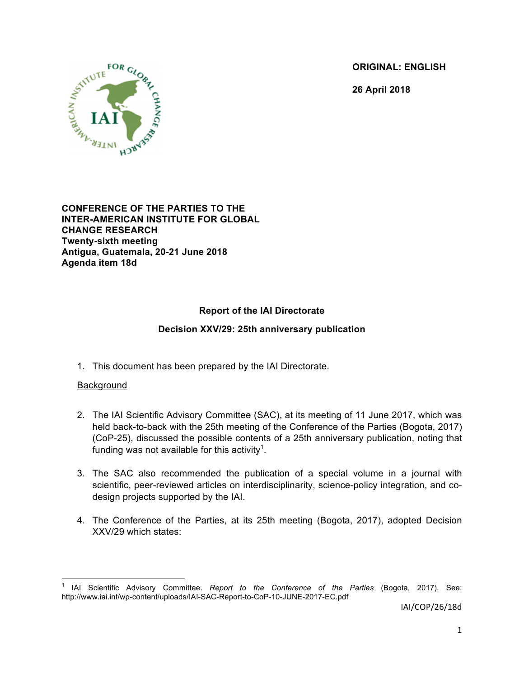**ORIGINAL: ENGLISH**

**26 April 2018**



**CONFERENCE OF THE PARTIES TO THE INTER-AMERICAN INSTITUTE FOR GLOBAL CHANGE RESEARCH Twenty-sixth meeting Antigua, Guatemala, 20-21 June 2018 Agenda item 18d**

# **Report of the IAI Directorate**

# **Decision XXV/29: 25th anniversary publication**

1. This document has been prepared by the IAI Directorate.

### Background

- 2. The IAI Scientific Advisory Committee (SAC), at its meeting of 11 June 2017, which was held back-to-back with the 25th meeting of the Conference of the Parties (Bogota, 2017) (CoP-25), discussed the possible contents of a 25th anniversary publication, noting that funding was not available for this activity $^{\text{1}}$ .
- 3. The SAC also recommended the publication of a special volume in a journal with scientific, peer-reviewed articles on interdisciplinarity, science-policy integration, and codesign projects supported by the IAI.
- 4. The Conference of the Parties, at its 25th meeting (Bogota, 2017), adopted Decision XXV/29 which states:

 <sup>1</sup> IAI Scientific Advisory Committee. *Report to the Conference of the Parties* (Bogota, 2017). See: http://www.iai.int/wp-content/uploads/IAI-SAC-Report-to-CoP-10-JUNE-2017-EC.pdf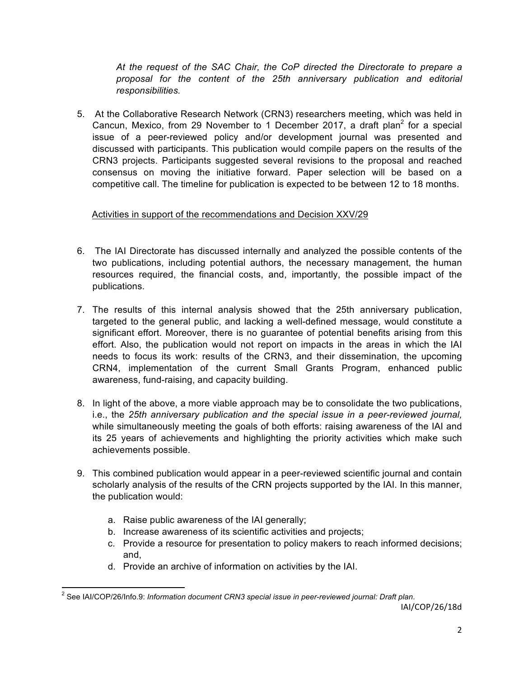*At the request of the SAC Chair, the CoP directed the Directorate to prepare a proposal for the content of the 25th anniversary publication and editorial responsibilities.*

5. At the Collaborative Research Network (CRN3) researchers meeting, which was held in Cancun, Mexico, from 29 November to 1 December 2017, a draft plan<sup>2</sup> for a special issue of a peer-reviewed policy and/or development journal was presented and discussed with participants. This publication would compile papers on the results of the CRN3 projects. Participants suggested several revisions to the proposal and reached consensus on moving the initiative forward. Paper selection will be based on a competitive call. The timeline for publication is expected to be between 12 to 18 months.

# Activities in support of the recommendations and Decision XXV/29

- 6. The IAI Directorate has discussed internally and analyzed the possible contents of the two publications, including potential authors, the necessary management, the human resources required, the financial costs, and, importantly, the possible impact of the publications.
- 7. The results of this internal analysis showed that the 25th anniversary publication, targeted to the general public, and lacking a well-defined message, would constitute a significant effort. Moreover, there is no guarantee of potential benefits arising from this effort. Also, the publication would not report on impacts in the areas in which the IAI needs to focus its work: results of the CRN3, and their dissemination, the upcoming CRN4, implementation of the current Small Grants Program, enhanced public awareness, fund-raising, and capacity building.
- 8. In light of the above, a more viable approach may be to consolidate the two publications, i.e., the *25th anniversary publication and the special issue in a peer-reviewed journal,*  while simultaneously meeting the goals of both efforts: raising awareness of the IAI and its 25 years of achievements and highlighting the priority activities which make such achievements possible.
- 9. This combined publication would appear in a peer-reviewed scientific journal and contain scholarly analysis of the results of the CRN projects supported by the IAI. In this manner, the publication would:
	- a. Raise public awareness of the IAI generally;
	- b. Increase awareness of its scientific activities and projects;
	- c. Provide a resource for presentation to policy makers to reach informed decisions; and,
	- d. Provide an archive of information on activities by the IAI.

IAI/COP/26/18d <sup>2</sup> See IAI/COP/26/Info.9: *Information document CRN3 special issue in peer-reviewed journal: Draft plan*.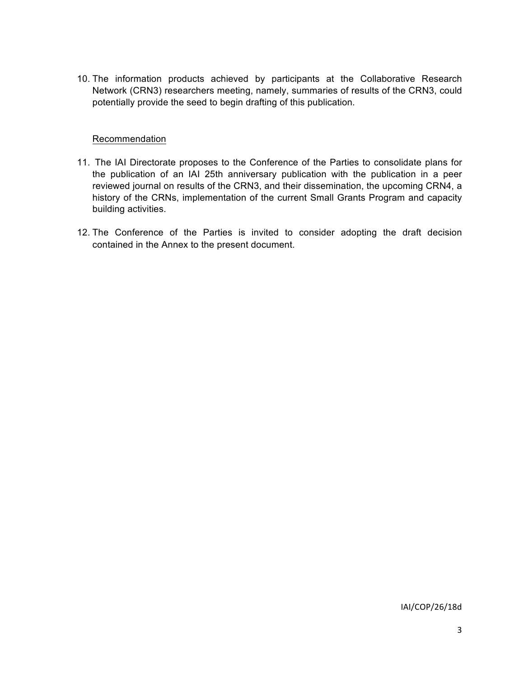10. The information products achieved by participants at the Collaborative Research Network (CRN3) researchers meeting, namely, summaries of results of the CRN3, could potentially provide the seed to begin drafting of this publication.

#### Recommendation

- 11. The IAI Directorate proposes to the Conference of the Parties to consolidate plans for the publication of an IAI 25th anniversary publication with the publication in a peer reviewed journal on results of the CRN3, and their dissemination, the upcoming CRN4, a history of the CRNs, implementation of the current Small Grants Program and capacity building activities.
- 12. The Conference of the Parties is invited to consider adopting the draft decision contained in the Annex to the present document.